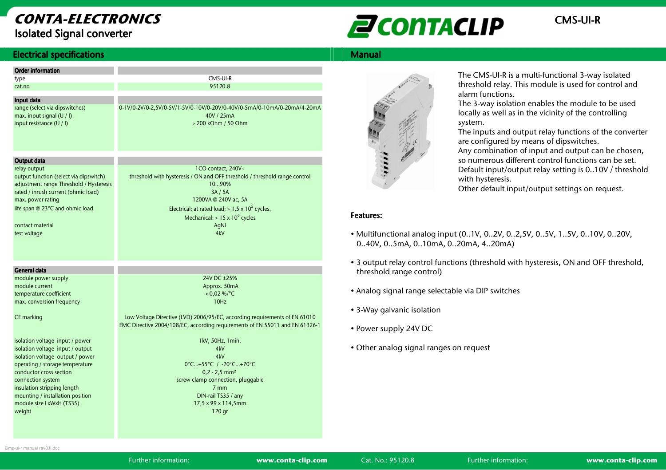# CONTA-ELECTRONICSIsolated Signal converter



## **Electrical specifications**

| <b>Electrical specifications</b>                                                                                                                                                                                                                                                                    |                                                                                                                                                                                                        | <b>Manual</b>                            |
|-----------------------------------------------------------------------------------------------------------------------------------------------------------------------------------------------------------------------------------------------------------------------------------------------------|--------------------------------------------------------------------------------------------------------------------------------------------------------------------------------------------------------|------------------------------------------|
| <b>Order information</b><br>type<br>cat.no<br>Input data                                                                                                                                                                                                                                            | CMS-UI-R<br>95120.8                                                                                                                                                                                    |                                          |
| range (select via dipswitches)<br>max. input signal (U / I)<br>input resistance (U / I)                                                                                                                                                                                                             | 0-1V/0-2V/0-2,5V/0-5V/1-5V/0-10V/0-20V/0-40V/0-5mA/0-10mA/0-20mA/4-20mA<br>40V / 25mA<br>> 200 kOhm / 50 Ohm                                                                                           |                                          |
| Output data<br>relay output<br>output function (select via dipswitch)<br>adjustment range Threshold / Hysteresis<br>rated / inrush current (ohmic load)<br>max. power rating<br>life span @ 23°C and ohmic load                                                                                     | 1CO contact, 240V~<br>threshold with hysteresis / ON and OFF threshold / threshold range control<br>1090%<br>3A / 5A<br>1200VA@240Vac, 5A<br>Electrical: at rated load: $> 1.5 \times 10^5$ cycles.    | $H. H. H. H. H.$                         |
| contact material<br>test voltage                                                                                                                                                                                                                                                                    | Mechanical: $> 15 \times 10^6$ cycles<br>AqNi<br>4kV                                                                                                                                                   | <b>Features:</b><br>• Multifur<br>0.40V, |
| <b>General data</b>                                                                                                                                                                                                                                                                                 |                                                                                                                                                                                                        | • 3 outpu<br>thresho                     |
| module power supply<br>module current<br>temperature coefficient<br>max. conversion frequency                                                                                                                                                                                                       | 24V DC ±25%<br>Approx. 50mA<br>$< 0.02 %$ /°C<br>10Hz                                                                                                                                                  | • Analog                                 |
| CE marking                                                                                                                                                                                                                                                                                          | Low Voltage Directive (LVD) 2006/95/EC, according requirements of EN 61010<br>EMC Directive 2004/108/EC, according requirements of EN 55011 and EN 61326-1                                             | $\bullet$ 3-Way $\circ$<br>• Power s     |
| isolation voltage input / power<br>isolation voltage input / output<br>isolation voltage output / power<br>operating / storage temperature<br>conductor cross section<br>connection system<br>insulation stripping length<br>mounting / installation position<br>module size LxWxH (TS35)<br>weight | 1kV, 50Hz, 1min.<br>4kV<br>4kV<br>0°C+55°C / -20°C+70°C<br>$0,2 - 2,5$ mm <sup>2</sup><br>screw clamp connection, pluggable<br>7 <sub>mm</sub><br>DIN-rail TS35 / any<br>17,5 x 99 x 114,5mm<br>120 gr | • Other a                                |



The CMS-UI-R is a multi-functional 3-way isolated threshold relay. This module is used for control and alarm functions.

 The 3-way isolation enables the module to be used locally as well as in the vicinity of the controlling system.

 The inputs and output relay functions of the converter are configured by means of dipswitches. Any combination of input and output can be chosen, so numerous different control functions can be set. Default input/output relay setting is 0..10V / threshold with hysteresis.

Other default input/output settings on request.

#### Features: Features:

- Multifunctional analog input (0..1V, 0..2V, 0..2,5V, 0..5V, 1..5V, 0..10V, 0..20V, 0..40V, 0..5mA, 0..10mA, 0..20mA, 4..20mA)
- 3 output relay control functions (threshold with hysteresis, ON and OFF threshold, threshold range control)
- Analog signal range selectable via DIP switches
- 3-Way galvanic isolation
- Power supply 24V DC
- Other analog signal ranges on request